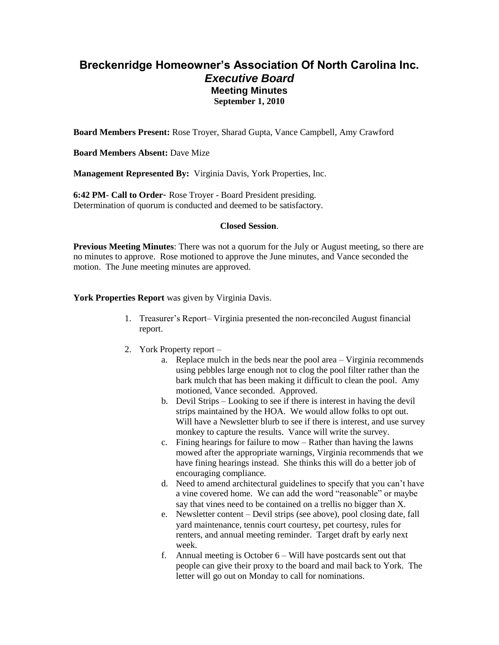## **Breckenridge Homeowner's Association Of North Carolina Inc.** *Executive Board* **Meeting Minutes September 1, 2010**

**Board Members Present:** Rose Troyer, Sharad Gupta, Vance Campbell, Amy Crawford

**Board Members Absent:** Dave Mize

**Management Represented By:** Virginia Davis, York Properties, Inc.

**6:42 PM- Call to Order**- Rose Troyer - Board President presiding. Determination of quorum is conducted and deemed to be satisfactory.

#### **Closed Session**.

**Previous Meeting Minutes**: There was not a quorum for the July or August meeting, so there are no minutes to approve. Rose motioned to approve the June minutes, and Vance seconded the motion. The June meeting minutes are approved.

### **York Properties Report** was given by Virginia Davis.

- 1. Treasurer's Report– Virginia presented the non-reconciled August financial report.
- 2. York Property report
	- a. Replace mulch in the beds near the pool area Virginia recommends using pebbles large enough not to clog the pool filter rather than the bark mulch that has been making it difficult to clean the pool. Amy motioned, Vance seconded. Approved.
	- b. Devil Strips Looking to see if there is interest in having the devil strips maintained by the HOA. We would allow folks to opt out. Will have a Newsletter blurb to see if there is interest, and use survey monkey to capture the results. Vance will write the survey.
	- c. Fining hearings for failure to mow Rather than having the lawns mowed after the appropriate warnings, Virginia recommends that we have fining hearings instead. She thinks this will do a better job of encouraging compliance.
	- d. Need to amend architectural guidelines to specify that you can't have a vine covered home. We can add the word "reasonable" or maybe say that vines need to be contained on a trellis no bigger than X.
	- e. Newsletter content Devil strips (see above), pool closing date, fall yard maintenance, tennis court courtesy, pet courtesy, rules for renters, and annual meeting reminder. Target draft by early next week.
	- f. Annual meeting is October 6 Will have postcards sent out that people can give their proxy to the board and mail back to York. The letter will go out on Monday to call for nominations.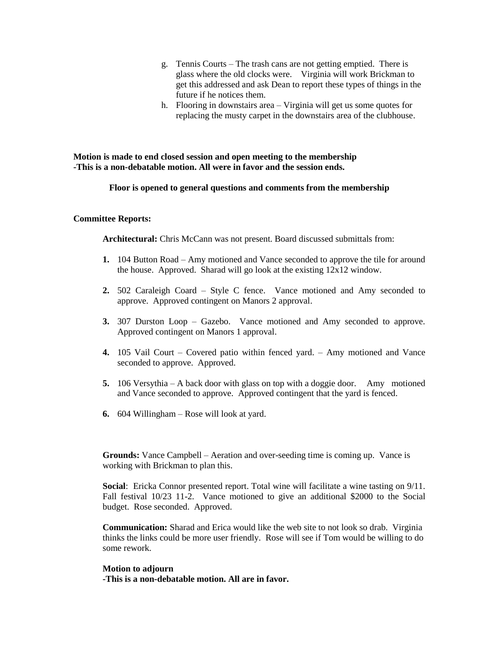- g. Tennis Courts The trash cans are not getting emptied. There is glass where the old clocks were. Virginia will work Brickman to get this addressed and ask Dean to report these types of things in the future if he notices them.
- h. Flooring in downstairs area Virginia will get us some quotes for replacing the musty carpet in the downstairs area of the clubhouse.

**Motion is made to end closed session and open meeting to the membership -This is a non-debatable motion. All were in favor and the session ends.**

**Floor is opened to general questions and comments from the membership**

#### **Committee Reports:**

**Architectural:** Chris McCann was not present. Board discussed submittals from:

- **1.** 104 Button Road Amy motioned and Vance seconded to approve the tile for around the house. Approved. Sharad will go look at the existing 12x12 window.
- **2.** 502 Caraleigh Coard Style C fence. Vance motioned and Amy seconded to approve. Approved contingent on Manors 2 approval.
- **3.** 307 Durston Loop Gazebo. Vance motioned and Amy seconded to approve. Approved contingent on Manors 1 approval.
- **4.** 105 Vail Court Covered patio within fenced yard. Amy motioned and Vance seconded to approve. Approved.
- **5.** 106 Versythia A back door with glass on top with a doggie door. Amy motioned and Vance seconded to approve. Approved contingent that the yard is fenced.
- **6.** 604 Willingham Rose will look at yard.

**Grounds:** Vance Campbell – Aeration and over-seeding time is coming up. Vance is working with Brickman to plan this.

**Social**: Ericka Connor presented report. Total wine will facilitate a wine tasting on 9/11. Fall festival 10/23 11-2. Vance motioned to give an additional \$2000 to the Social budget. Rose seconded. Approved.

**Communication:** Sharad and Erica would like the web site to not look so drab. Virginia thinks the links could be more user friendly. Rose will see if Tom would be willing to do some rework.

#### **Motion to adjourn**

**-This is a non-debatable motion. All are in favor.**